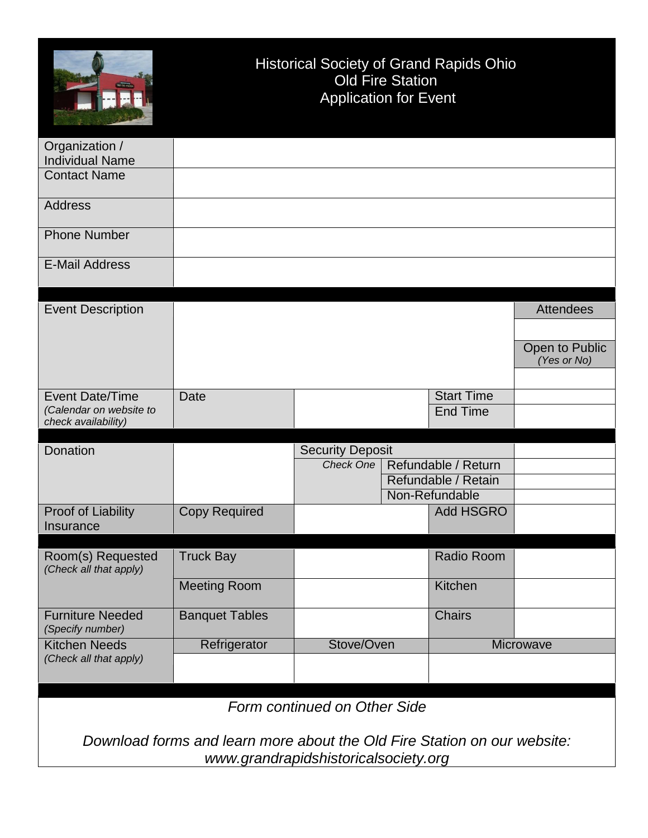|                                                                                                                                                  | <b>Historical Society of Grand Rapids Ohio</b><br><b>Old Fire Station</b><br><b>Application for Event</b> |                                                                                                      |  |                                      |                                                   |  |  |  |
|--------------------------------------------------------------------------------------------------------------------------------------------------|-----------------------------------------------------------------------------------------------------------|------------------------------------------------------------------------------------------------------|--|--------------------------------------|---------------------------------------------------|--|--|--|
| Organization /<br><b>Individual Name</b><br><b>Contact Name</b>                                                                                  |                                                                                                           |                                                                                                      |  |                                      |                                                   |  |  |  |
| <b>Address</b>                                                                                                                                   |                                                                                                           |                                                                                                      |  |                                      |                                                   |  |  |  |
| <b>Phone Number</b>                                                                                                                              |                                                                                                           |                                                                                                      |  |                                      |                                                   |  |  |  |
| <b>E-Mail Address</b>                                                                                                                            |                                                                                                           |                                                                                                      |  |                                      |                                                   |  |  |  |
| <b>Event Description</b>                                                                                                                         |                                                                                                           |                                                                                                      |  |                                      | <b>Attendees</b><br>Open to Public<br>(Yes or No) |  |  |  |
| <b>Event Date/Time</b><br>(Calendar on website to<br>check availability)                                                                         | Date                                                                                                      |                                                                                                      |  | <b>Start Time</b><br><b>End Time</b> |                                                   |  |  |  |
| Donation                                                                                                                                         |                                                                                                           | <b>Security Deposit</b><br>Check One<br>Refundable / Return<br>Refundable / Retain<br>Non-Refundable |  |                                      |                                                   |  |  |  |
| Proof of Liability<br>Insurance                                                                                                                  | <b>Copy Required</b>                                                                                      |                                                                                                      |  | <b>Add HSGRO</b>                     |                                                   |  |  |  |
| Room(s) Requested<br>(Check all that apply)                                                                                                      | <b>Truck Bay</b>                                                                                          |                                                                                                      |  | Radio Room                           |                                                   |  |  |  |
| <b>Furniture Needed</b>                                                                                                                          | <b>Meeting Room</b>                                                                                       |                                                                                                      |  | Kitchen                              |                                                   |  |  |  |
| (Specify number)                                                                                                                                 | <b>Banquet Tables</b>                                                                                     |                                                                                                      |  | <b>Chairs</b>                        |                                                   |  |  |  |
| <b>Kitchen Needs</b><br>(Check all that apply)                                                                                                   | Refrigerator                                                                                              | Stove/Oven                                                                                           |  |                                      | Microwave                                         |  |  |  |
|                                                                                                                                                  |                                                                                                           |                                                                                                      |  |                                      |                                                   |  |  |  |
| Form continued on Other Side<br>Download forms and learn more about the Old Fire Station on our website:<br>www.grandrapidshistoricalsociety.org |                                                                                                           |                                                                                                      |  |                                      |                                                   |  |  |  |